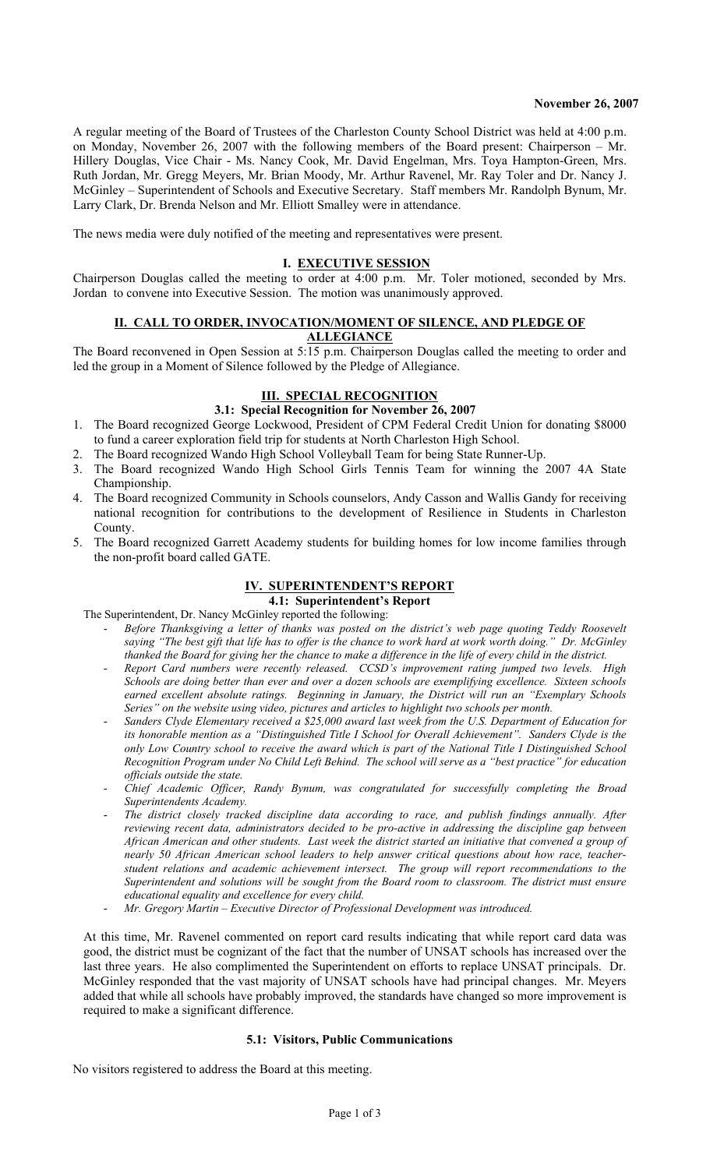A regular meeting of the Board of Trustees of the Charleston County School District was held at 4:00 p.m. on Monday, November 26, 2007 with the following members of the Board present: Chairperson – Mr. Hillery Douglas, Vice Chair - Ms. Nancy Cook, Mr. David Engelman, Mrs. Toya Hampton-Green, Mrs. Ruth Jordan, Mr. Gregg Meyers, Mr. Brian Moody, Mr. Arthur Ravenel, Mr. Ray Toler and Dr. Nancy J. McGinley – Superintendent of Schools and Executive Secretary. Staff members Mr. Randolph Bynum, Mr. Larry Clark, Dr. Brenda Nelson and Mr. Elliott Smalley were in attendance.

The news media were duly notified of the meeting and representatives were present.

#### **I. EXECUTIVE SESSION**

Chairperson Douglas called the meeting to order at 4:00 p.m. Mr. Toler motioned, seconded by Mrs. Jordan to convene into Executive Session. The motion was unanimously approved.

#### **II. CALL TO ORDER, INVOCATION/MOMENT OF SILENCE, AND PLEDGE OF ALLEGIANCE**

The Board reconvened in Open Session at 5:15 p.m. Chairperson Douglas called the meeting to order and led the group in a Moment of Silence followed by the Pledge of Allegiance.

## **III. SPECIAL RECOGNITION**

- **3.1: Special Recognition for November 26, 2007**
- 1. The Board recognized George Lockwood, President of CPM Federal Credit Union for donating \$8000 to fund a career exploration field trip for students at North Charleston High School.
- 2. The Board recognized Wando High School Volleyball Team for being State Runner-Up.
- 3. The Board recognized Wando High School Girls Tennis Team for winning the 2007 4A State Championship.
- 4. The Board recognized Community in Schools counselors, Andy Casson and Wallis Gandy for receiving national recognition for contributions to the development of Resilience in Students in Charleston County.
- 5. The Board recognized Garrett Academy students for building homes for low income families through the non-profit board called GATE.

# **IV. SUPERINTENDENT'S REPORT**

**4.1: Superintendent's Report** 

- The Superintendent, Dr. Nancy McGinley reported the following: - *Before Thanksgiving a letter of thanks was posted on the district's web page quoting Teddy Roosevelt saying "The best gift that life has to offer is the chance to work hard at work worth doing." Dr. McGinley thanked the Board for giving her the chance to make a difference in the life of every child in the district.* 
	- *Report Card numbers were recently released. CCSD's improvement rating jumped two levels. High Schools are doing better than ever and over a dozen schools are exemplifying excellence. Sixteen schools earned excellent absolute ratings. Beginning in January, the District will run an "Exemplary Schools Series" on the website using video, pictures and articles to highlight two schools per month.*
	- *Sanders Clyde Elementary received a \$25,000 award last week from the U.S. Department of Education for its honorable mention as a "Distinguished Title I School for Overall Achievement". Sanders Clyde is the only Low Country school to receive the award which is part of the National Title I Distinguished School Recognition Program under No Child Left Behind. The school will serve as a "best practice" for education officials outside the state.*
	- *Chief Academic Officer, Randy Bynum, was congratulated for successfully completing the Broad Superintendents Academy.*
	- The district closely tracked discipline data according to race, and publish findings annually. After *reviewing recent data, administrators decided to be pro-active in addressing the discipline gap between African American and other students. Last week the district started an initiative that convened a group of nearly 50 African American school leaders to help answer critical questions about how race, teacherstudent relations and academic achievement intersect. The group will report recommendations to the Superintendent and solutions will be sought from the Board room to classroom. The district must ensure educational equality and excellence for every child.*
	- *Mr. Gregory Martin Executive Director of Professional Development was introduced.*

At this time, Mr. Ravenel commented on report card results indicating that while report card data was good, the district must be cognizant of the fact that the number of UNSAT schools has increased over the last three years. He also complimented the Superintendent on efforts to replace UNSAT principals. Dr. McGinley responded that the vast majority of UNSAT schools have had principal changes. Mr. Meyers added that while all schools have probably improved, the standards have changed so more improvement is required to make a significant difference.

#### **5.1: Visitors, Public Communications**

No visitors registered to address the Board at this meeting.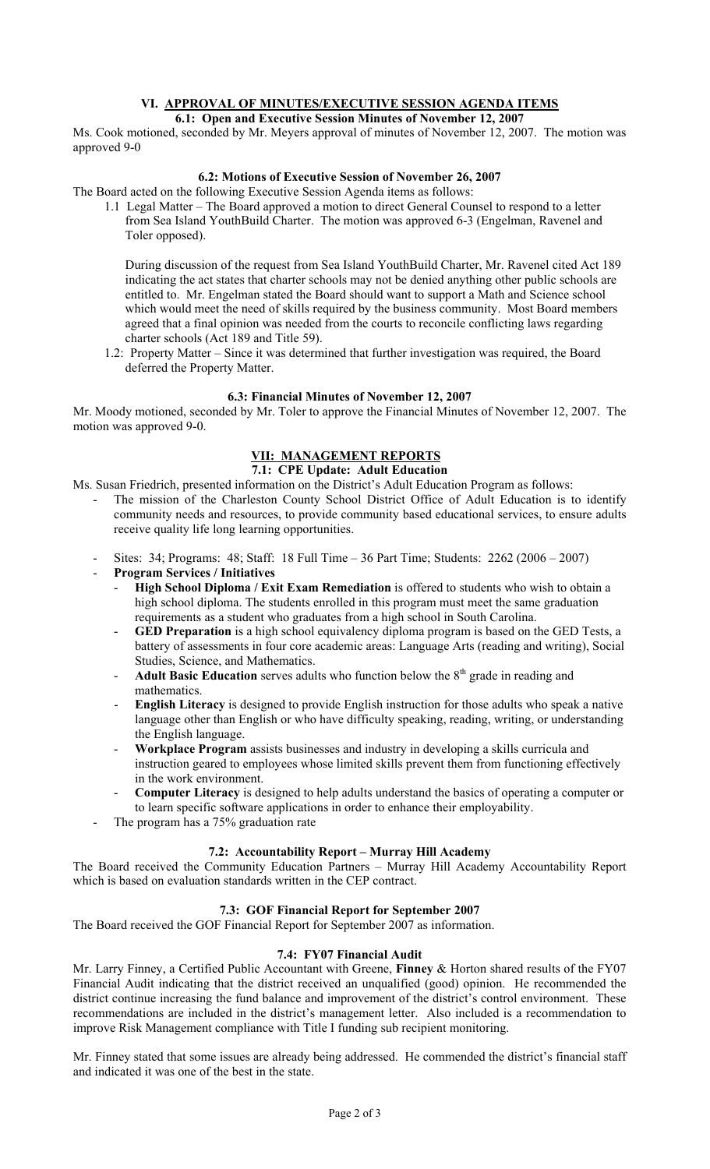#### **VI. APPROVAL OF MINUTES/EXECUTIVE SESSION AGENDA ITEMS 6.1: Open and Executive Session Minutes of November 12, 2007**

Ms. Cook motioned, seconded by Mr. Meyers approval of minutes of November 12, 2007. The motion was approved 9-0

## **6.2: Motions of Executive Session of November 26, 2007**

The Board acted on the following Executive Session Agenda items as follows:

1.1 Legal Matter – The Board approved a motion to direct General Counsel to respond to a letter from Sea Island YouthBuild Charter. The motion was approved 6-3 (Engelman, Ravenel and Toler opposed).

 During discussion of the request from Sea Island YouthBuild Charter, Mr. Ravenel cited Act 189 indicating the act states that charter schools may not be denied anything other public schools are entitled to. Mr. Engelman stated the Board should want to support a Math and Science school which would meet the need of skills required by the business community. Most Board members agreed that a final opinion was needed from the courts to reconcile conflicting laws regarding charter schools (Act 189 and Title 59).

1.2: Property Matter – Since it was determined that further investigation was required, the Board deferred the Property Matter.

### **6.3: Financial Minutes of November 12, 2007**

Mr. Moody motioned, seconded by Mr. Toler to approve the Financial Minutes of November 12, 2007. The motion was approved 9-0.

# **VII: MANAGEMENT REPORTS**

### **7.1: CPE Update: Adult Education**

Ms. Susan Friedrich, presented information on the District's Adult Education Program as follows:

- The mission of the Charleston County School District Office of Adult Education is to identify community needs and resources, to provide community based educational services, to ensure adults receive quality life long learning opportunities.
- Sites: 34; Programs: 48; Staff: 18 Full Time 36 Part Time; Students: 2262 (2006 2007)
- **Program Services / Initiatives** 
	- **High School Diploma / Exit Exam Remediation** is offered to students who wish to obtain a high school diploma. The students enrolled in this program must meet the same graduation requirements as a student who graduates from a high school in South Carolina.
	- **GED Preparation** is a high school equivalency diploma program is based on the GED Tests, a battery of assessments in four core academic areas: Language Arts (reading and writing), Social Studies, Science, and Mathematics.
	- Adult Basic Education serves adults who function below the 8<sup>th</sup> grade in reading and mathematics.
	- **English Literacy** is designed to provide English instruction for those adults who speak a native language other than English or who have difficulty speaking, reading, writing, or understanding the English language.
	- **Workplace Program** assists businesses and industry in developing a skills curricula and instruction geared to employees whose limited skills prevent them from functioning effectively in the work environment.
	- **Computer Literacy** is designed to help adults understand the basics of operating a computer or to learn specific software applications in order to enhance their employability.
- The program has a 75% graduation rate

### **7.2: Accountability Report – Murray Hill Academy**

The Board received the Community Education Partners – Murray Hill Academy Accountability Report which is based on evaluation standards written in the CEP contract.

### **7.3: GOF Financial Report for September 2007**

The Board received the GOF Financial Report for September 2007 as information.

## **7.4: FY07 Financial Audit**

Mr. Larry Finney, a Certified Public Accountant with Greene, **Finney** & Horton shared results of the FY07 Financial Audit indicating that the district received an unqualified (good) opinion. He recommended the district continue increasing the fund balance and improvement of the district's control environment. These recommendations are included in the district's management letter. Also included is a recommendation to improve Risk Management compliance with Title I funding sub recipient monitoring.

Mr. Finney stated that some issues are already being addressed. He commended the district's financial staff and indicated it was one of the best in the state.